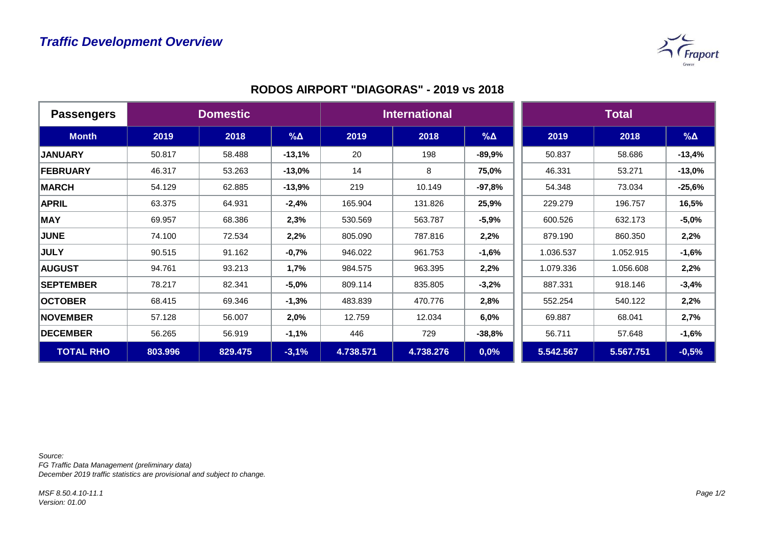

| <b>Passengers</b> | <b>Domestic</b> |         |             | <b>International</b> |           |            | <b>Total</b> |           |             |
|-------------------|-----------------|---------|-------------|----------------------|-----------|------------|--------------|-----------|-------------|
| <b>Month</b>      | 2019            | 2018    | $\% \Delta$ | 2019                 | 2018      | $% \Delta$ | 2019         | 2018      | $\% \Delta$ |
| <b>JANUARY</b>    | 50.817          | 58.488  | $-13,1%$    | 20                   | 198       | $-89,9%$   | 50.837       | 58.686    | $-13,4%$    |
| <b>FEBRUARY</b>   | 46.317          | 53.263  | $-13,0%$    | 14                   | 8         | 75,0%      | 46.331       | 53.271    | $-13,0%$    |
| <b>MARCH</b>      | 54.129          | 62.885  | $-13,9%$    | 219                  | 10.149    | $-97,8%$   | 54.348       | 73.034    | $-25,6%$    |
| <b>APRIL</b>      | 63.375          | 64.931  | $-2,4%$     | 165.904              | 131.826   | 25,9%      | 229.279      | 196.757   | 16,5%       |
| <b>MAY</b>        | 69.957          | 68.386  | 2,3%        | 530.569              | 563.787   | $-5,9%$    | 600.526      | 632.173   | $-5,0%$     |
| <b>JUNE</b>       | 74.100          | 72.534  | 2,2%        | 805.090              | 787.816   | 2,2%       | 879.190      | 860.350   | 2,2%        |
| <b>JULY</b>       | 90.515          | 91.162  | $-0,7%$     | 946.022              | 961.753   | $-1,6%$    | 1.036.537    | 1.052.915 | $-1,6%$     |
| <b>AUGUST</b>     | 94.761          | 93.213  | 1,7%        | 984.575              | 963.395   | 2,2%       | 1.079.336    | 1.056.608 | 2,2%        |
| <b>SEPTEMBER</b>  | 78.217          | 82.341  | $-5,0%$     | 809.114              | 835.805   | $-3,2%$    | 887.331      | 918.146   | $-3,4%$     |
| <b>OCTOBER</b>    | 68.415          | 69.346  | $-1,3%$     | 483.839              | 470.776   | 2,8%       | 552.254      | 540.122   | 2,2%        |
| <b>NOVEMBER</b>   | 57.128          | 56.007  | 2,0%        | 12.759               | 12.034    | 6,0%       | 69.887       | 68.041    | 2,7%        |
| <b>DECEMBER</b>   | 56.265          | 56.919  | $-1,1%$     | 446                  | 729       | $-38,8%$   | 56.711       | 57.648    | $-1,6%$     |
| <b>TOTAL RHO</b>  | 803.996         | 829.475 | $-3,1%$     | 4.738.571            | 4.738.276 | 0,0%       | 5.542.567    | 5.567.751 | $-0,5%$     |

*Source:* 

*FG Traffic Data Management (preliminary data) December 2019 traffic statistics are provisional and subject to change.*

*MSF 8.50.4.10-11.1 Version: 01.00*